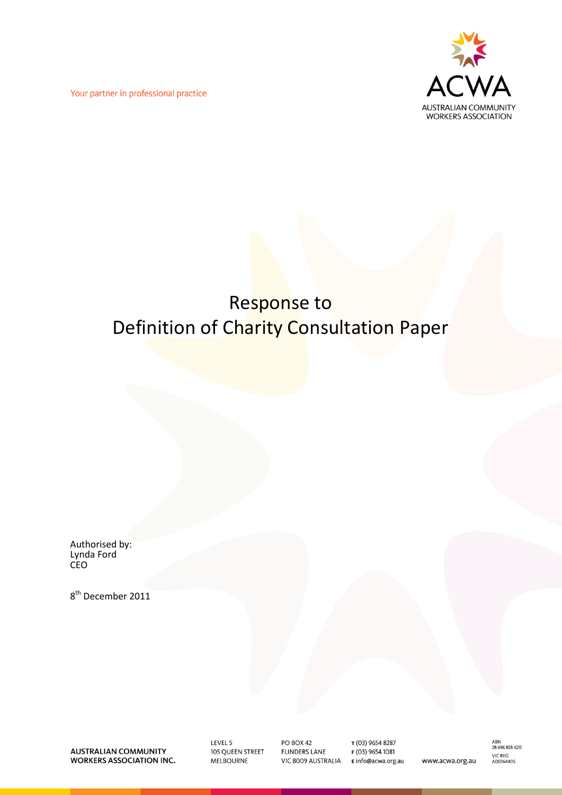Your partner in professional practice



## Response to Definition of Charity Consultation Paper

Authorised by: Lynda Ford CEO

8<sup>th</sup> December 2011

**AUSTRALIAN COMMUNITY WORKERS ASSOCIATION INC.**  LEVEL 5 105 QUEEN STREET **MELBOURNE** 

PO BOX 42 **FLINDERS LANE** VIC 8009 AUSTRALIA

T (03) 9654 8287 F (03) 9654 1081 E info@acwa.org.au

ABN<br>28 696 828 620 **VIC REG<br>A0036440S** www.acwa.org.au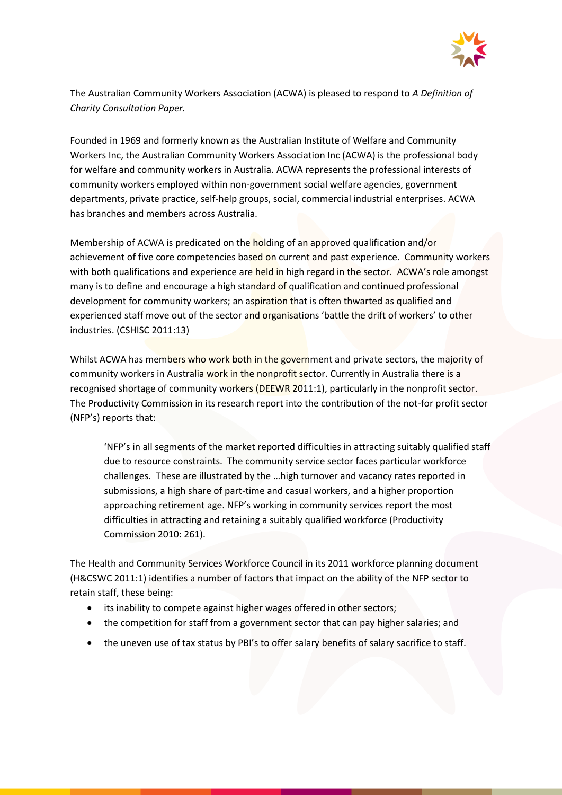

The Australian Community Workers Association (ACWA) is pleased to respond to *A Definition of Charity Consultation Paper.*

Founded in 1969 and formerly known as the Australian Institute of Welfare and Community Workers Inc, the Australian Community Workers Association Inc (ACWA) is the professional body for welfare and community workers in Australia. ACWA represents the professional interests of community workers employed within non-government social welfare agencies, government departments, private practice, self-help groups, social, commercial industrial enterprises. ACWA has branches and members across Australia.

Membership of ACWA is predicated on the holding of an approved qualification and/or achievement of five core competencies based on current and past experience. Community workers with both qualifications and experience are held in high regard in the sector. ACWA's role amongst many is to define and encourage a high standard of qualification and continued professional development for community workers; an aspiration that is often thwarted as qualified and experienced staff move out of the sector and organisations 'battle the drift of workers' to other industries. (CSHISC 2011:13)

Whilst ACWA has members who work both in the government and private sectors, the majority of community workers in Australia work in the nonprofit sector. Currently in Australia there is a recognised shortage of community workers (DEEWR 2011:1), particularly in the nonprofit sector. The Productivity Commission in its research report into the contribution of the not-for profit sector (NFP's) reports that:

'NFP's in all segments of the market reported difficulties in attracting suitably qualified staff due to resource constraints. The community service sector faces particular workforce challenges. These are illustrated by the …high turnover and vacancy rates reported in submissions, a high share of part-time and casual workers, and a higher proportion approaching retirement age. NFP's working in community services report the most difficulties in attracting and retaining a suitably qualified workforce (Productivity Commission 2010: 261).

The Health and Community Services Workforce Council in its 2011 workforce planning document (H&CSWC 2011:1) identifies a number of factors that impact on the ability of the NFP sector to retain staff, these being:

- its inability to compete against higher wages offered in other sectors;
- the competition for staff from a government sector that can pay higher salaries; and
- the uneven use of tax status by PBI's to offer salary benefits of salary sacrifice to staff.